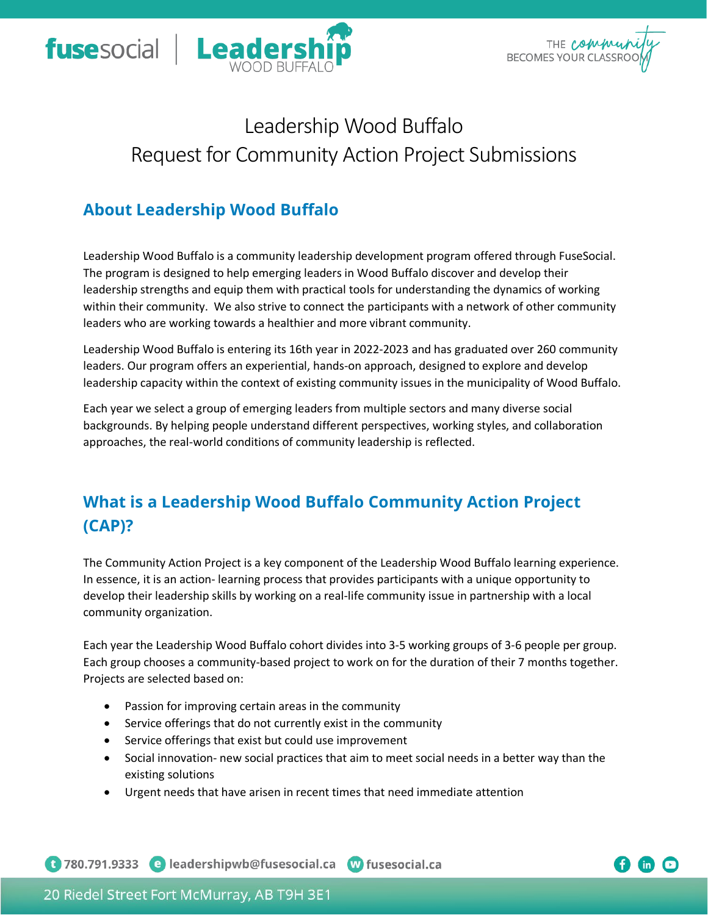



# Leadership Wood Buffalo Request for Community Action Project Submissions

## **About Leadership Wood Buffalo**

Leadership Wood Buffalo is a community leadership development program offered through FuseSocial. The program is designed to help emerging leaders in Wood Buffalo discover and develop their leadership strengths and equip them with practical tools for understanding the dynamics of working within their community. We also strive to connect the participants with a network of other community leaders who are working towards a healthier and more vibrant community.

Leadership Wood Buffalo is entering its 16th year in 2022-2023 and has graduated over 260 community leaders. Our program offers an experiential, hands-on approach, designed to explore and develop leadership capacity within the context of existing community issues in the municipality of Wood Buffalo.

Each year we select a group of emerging leaders from multiple sectors and many diverse social backgrounds. By helping people understand different perspectives, working styles, and collaboration approaches, the real-world conditions of community leadership is reflected.

# **What is a Leadership Wood Buffalo Community Action Project (CAP)?**

The Community Action Project is a key component of the Leadership Wood Buffalo learning experience. In essence, it is an action- learning process that provides participants with a unique opportunity to develop their leadership skills by working on a real-life community issue in partnership with a local community organization.

Each year the Leadership Wood Buffalo cohort divides into 3-5 working groups of 3-6 people per group. Each group chooses a community-based project to work on for the duration of their 7 months together. Projects are selected based on:

- Passion for improving certain areas in the community
- Service offerings that do not currently exist in the community
- Service offerings that exist but could use improvement
- Social innovation- new social practices that aim to meet social needs in a better way than the existing solutions
- Urgent needs that have arisen in recent times that need immediate attention

C 780.791.9333 e leadershipwb@fusesocial.ca W fusesocial.ca

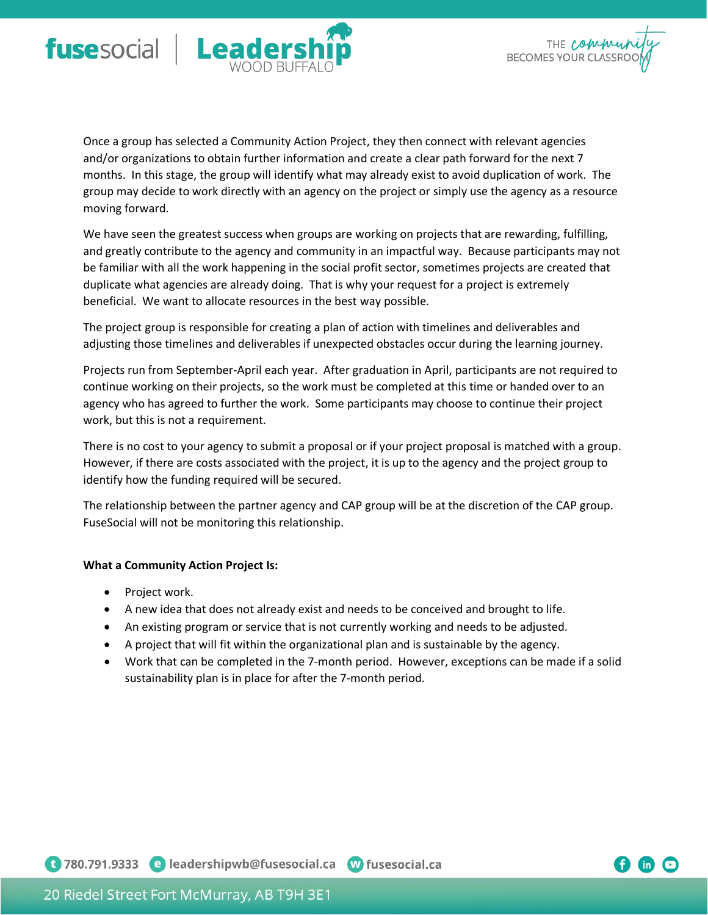



Once a group has selected a Community Action Project, they then connect with relevant agencies and/or organizations to obtain further information and create a clear path forward for the next 7 months. In this stage, the group will identify what may already exist to avoid duplication of work. The group may decide to work directly with an agency on the project or simply use the agency as a resource moving forward.

We have seen the greatest success when groups are working on projects that are rewarding, fulfilling, and greatly contribute to the agency and community in an impactful way. Because participants may not be familiar with all the work happening in the social profit sector, sometimes projects are created that duplicate what agencies are already doing. That is why your request for a project is extremely beneficial. We want to allocate resources in the best way possible.

The project group is responsible for creating a plan of action with timelines and deliverables and adjusting those timelines and deliverables if unexpected obstacles occur during the learning journey.

Projects run from September-April each year. After graduation in April, participants are not required to continue working on their projects, so the work must be completed at this time or handed over to an agency who has agreed to further the work. Some participants may choose to continue their project work, but this is not a requirement.

There is no cost to your agency to submit a proposal or if your project proposal is matched with a group. However, if there are costs associated with the project, it is up to the agency and the project group to identify how the funding required will be secured.

The relationship between the partner agency and CAP group will be at the discretion of the CAP group. FuseSocial will not be monitoring this relationship.

#### **What a Community Action Project Is:**

- Project work.
- A new idea that does not already exist and needs to be conceived and brought to life.
- An existing program or service that is not currently working and needs to be adjusted.
- A project that will fit within the organizational plan and is sustainable by the agency.
- Work that can be completed in the 7-month period. However, exceptions can be made if a solid sustainability plan is in place for after the 7-month period.

1 780.791.9333 e leadershipwb@fusesocial.ca w fusesocial.ca

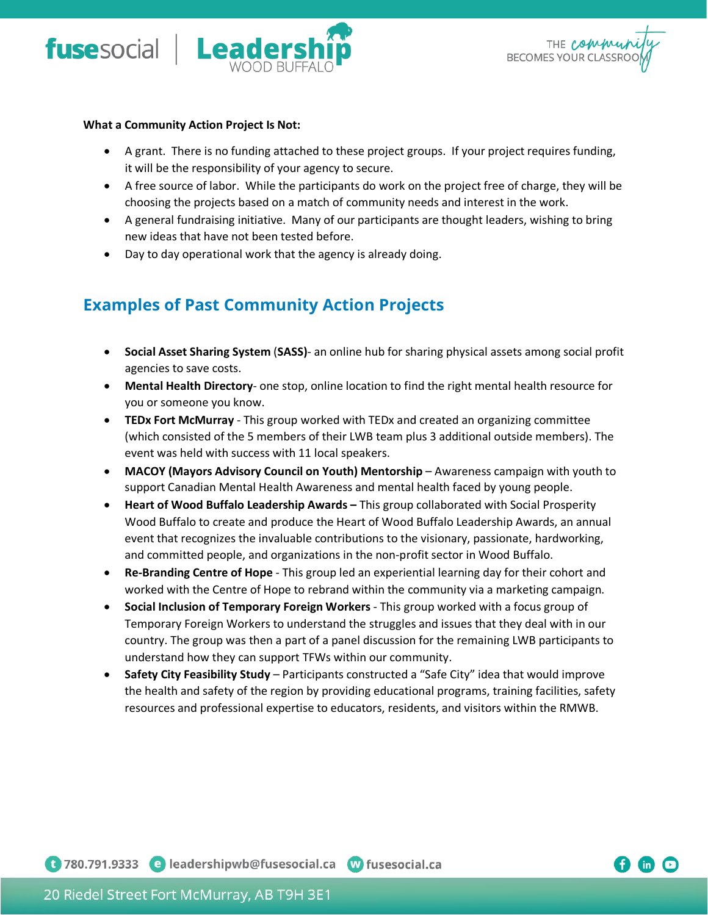



#### **What a Community Action Project Is Not:**

- A grant. There is no funding attached to these project groups. If your project requires funding, it will be the responsibility of your agency to secure.
- A free source of labor. While the participants do work on the project free of charge, they will be choosing the projects based on a match of community needs and interest in the work.
- A general fundraising initiative. Many of our participants are thought leaders, wishing to bring new ideas that have not been tested before.
- Day to day operational work that the agency is already doing.

### **Examples of Past Community Action Projects**

- **Social Asset Sharing System** (**SASS)** an online hub for sharing physical assets among social profit agencies to save costs.
- **Mental Health Directory** one stop, online location to find the right mental health resource for you or someone you know.
- **TEDx Fort McMurray** This group worked with TEDx and created an organizing committee (which consisted of the 5 members of their LWB team plus 3 additional outside members). The event was held with success with 11 local speakers.
- MACOY (Mayors Advisory Council on Youth) Mentorship Awareness campaign with youth to support Canadian Mental Health Awareness and mental health faced by young people.
- **Heart of Wood Buffalo Leadership Awards –** This group collaborated with Social Prosperity Wood Buffalo to create and produce the Heart of Wood Buffalo Leadership Awards, an annual event that recognizes the invaluable contributions to the visionary, passionate, hardworking, and committed people, and organizations in the non-profit sector in Wood Buffalo.
- **Re-Branding Centre of Hope** This group led an experiential learning day for their cohort and worked with the Centre of Hope to rebrand within the community via a marketing campaign.
- **Social Inclusion of Temporary Foreign Workers** This group worked with a focus group of Temporary Foreign Workers to understand the struggles and issues that they deal with in our country. The group was then a part of a panel discussion for the remaining LWB participants to understand how they can support TFWs within our community.
- **Safety City Feasibility Study**  Participants constructed a "Safe City" idea that would improve the health and safety of the region by providing educational programs, training facilities, safety resources and professional expertise to educators, residents, and visitors within the RMWB.

1 780.791.9333 e leadershipwb@fusesocial.ca W fusesocial.ca

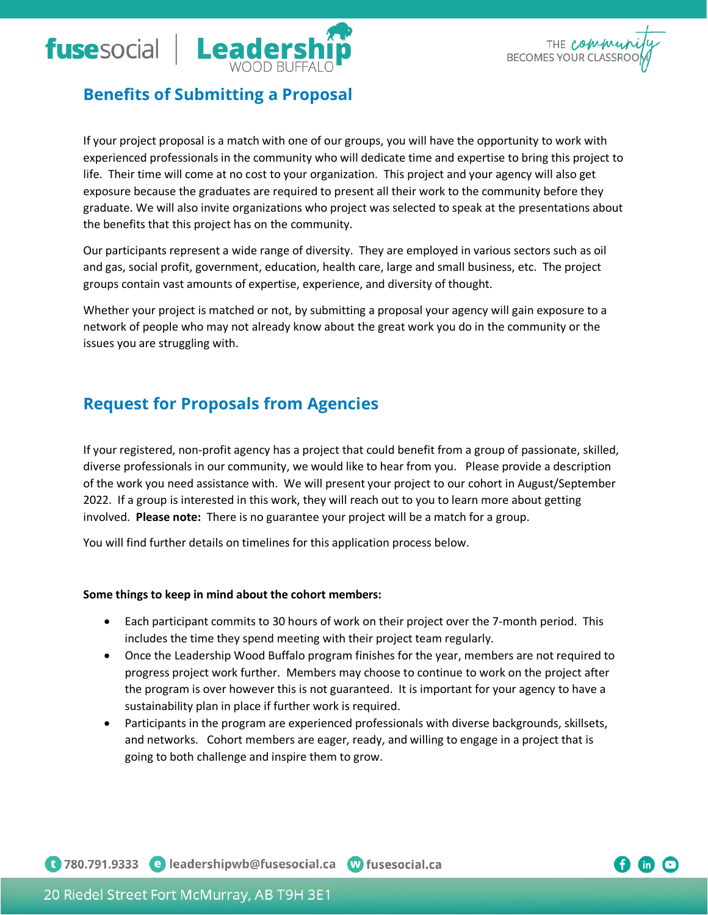



### **Benefits of Submitting a Proposal**

If your project proposal is a match with one of our groups, you will have the opportunity to work with experienced professionals in the community who will dedicate time and expertise to bring this project to life. Their time will come at no cost to your organization. This project and your agency will also get exposure because the graduates are required to present all their work to the community before they graduate. We will also invite organizations who project was selected to speak at the presentations about the benefits that this project has on the community.

Our participants represent a wide range of diversity. They are employed in various sectors such as oil and gas, social profit, government, education, health care, large and small business, etc. The project groups contain vast amounts of expertise, experience, and diversity of thought.

Whether your project is matched or not, by submitting a proposal your agency will gain exposure to a network of people who may not already know about the great work you do in the community or the issues you are struggling with.

### **Request for Proposals from Agencies**

If your registered, non-profit agency has a project that could benefit from a group of passionate, skilled, diverse professionals in our community, we would like to hear from you. Please provide a description of the work you need assistance with. We will present your project to our cohort in August/September 2022. If a group is interested in this work, they will reach out to you to learn more about getting involved. **Please note:** There is no guarantee your project will be a match for a group.

You will find further details on timelines for this application process below.

#### **Some things to keep in mind about the cohort members:**

- Each participant commits to 30 hours of work on their project over the 7-month period. This includes the time they spend meeting with their project team regularly.
- Once the Leadership Wood Buffalo program finishes for the year, members are not required to progress project work further. Members may choose to continue to work on the project after the program is over however this is not guaranteed. It is important for your agency to have a sustainability plan in place if further work is required.
- Participants in the program are experienced professionals with diverse backgrounds, skillsets, and networks. Cohort members are eager, ready, and willing to engage in a project that is going to both challenge and inspire them to grow.

1 780.791.9333 e leadershipwb@fusesocial.ca w fusesocial.ca

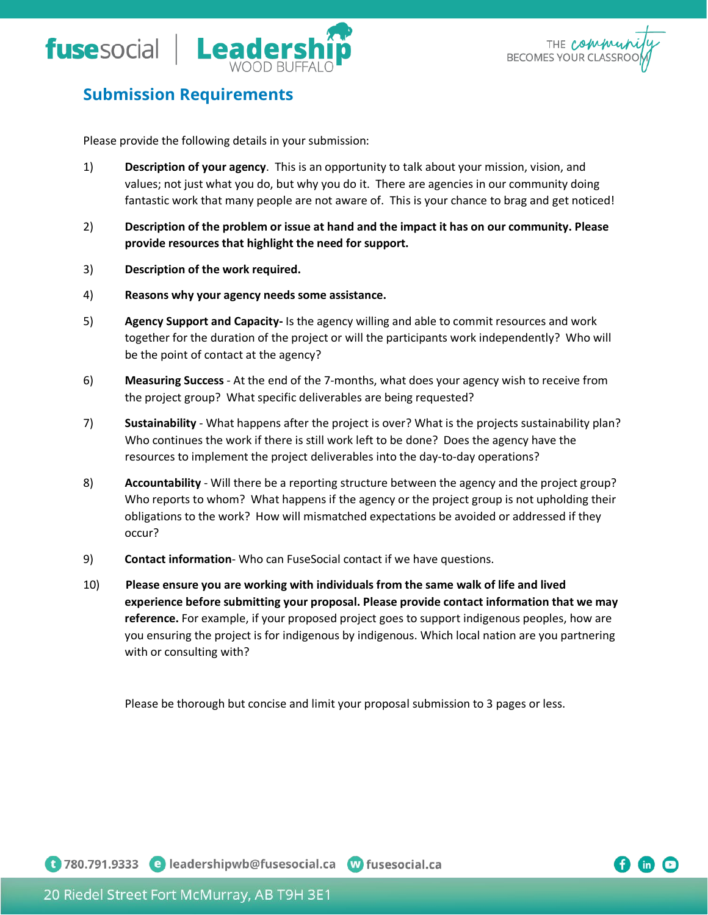



 $\mathsf{in}$ 

### **Submission Requirements**

Please provide the following details in your submission:

- 1) **Description of your agency**. This is an opportunity to talk about your mission, vision, and values; not just what you do, but why you do it. There are agencies in our community doing fantastic work that many people are not aware of. This is your chance to brag and get noticed!
- 2) **Description of the problem or issue at hand and the impact it has on our community. Please provide resources that highlight the need for support.**
- 3) **Description of the work required.**
- 4) **Reasons why your agency needs some assistance.**
- 5) **Agency Support and Capacity-** Is the agency willing and able to commit resources and work together for the duration of the project or will the participants work independently? Who will be the point of contact at the agency?
- 6) **Measuring Success** At the end of the 7-months, what does your agency wish to receive from the project group? What specific deliverables are being requested?
- 7) **Sustainability** What happens after the project is over? What is the projects sustainability plan? Who continues the work if there is still work left to be done? Does the agency have the resources to implement the project deliverables into the day-to-day operations?
- 8) **Accountability** Will there be a reporting structure between the agency and the project group? Who reports to whom? What happens if the agency or the project group is not upholding their obligations to the work? How will mismatched expectations be avoided or addressed if they occur?
- 9) **Contact information** Who can FuseSocial contact if we have questions.
- 10) **Please ensure you are working with individuals from the same walk of life and lived experience before submitting your proposal. Please provide contact information that we may reference.** For example, if your proposed project goes to support indigenous peoples, how are you ensuring the project is for indigenous by indigenous. Which local nation are you partnering with or consulting with?

Please be thorough but concise and limit your proposal submission to 3 pages or less.

1 780.791.9333 e leadershipwb@fusesocial.ca w fusesocial.ca

20 Riedel Street Fort McMurray, AB T9H 3E1